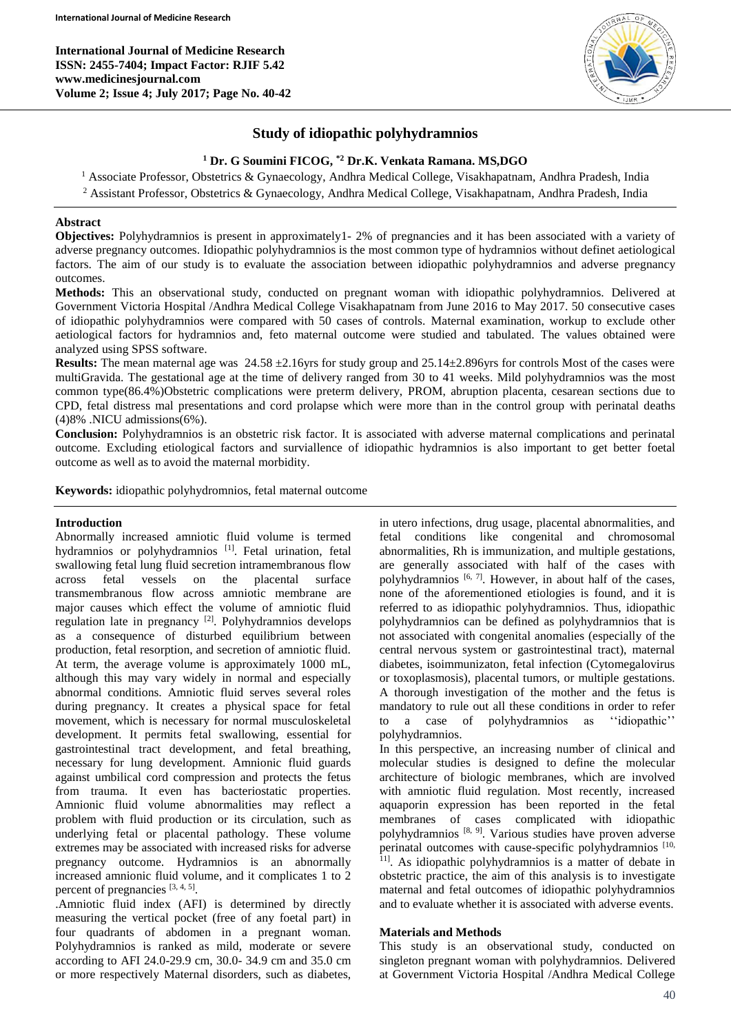

# **Study of idiopathic polyhydramnios**

## **<sup>1</sup> Dr. G Soumini FICOG, \*2 Dr.K. Venkata Ramana. MS,DGO**

<sup>1</sup> Associate Professor, Obstetrics & Gynaecology, Andhra Medical College, Visakhapatnam, Andhra Pradesh, India <sup>2</sup> Assistant Professor, Obstetrics & Gynaecology, Andhra Medical College, Visakhapatnam, Andhra Pradesh, India

## **Abstract**

**Objectives:** Polyhydramnios is present in approximately1- 2% of pregnancies and it has been associated with a variety of adverse pregnancy outcomes. Idiopathic polyhydramnios is the most common type of hydramnios without definet aetiological factors. The aim of our study is to evaluate the association between idiopathic polyhydramnios and adverse pregnancy outcomes.

**Methods:** This an observational study, conducted on pregnant woman with idiopathic polyhydramnios. Delivered at Government Victoria Hospital /Andhra Medical College Visakhapatnam from June 2016 to May 2017. 50 consecutive cases of idiopathic polyhydramnios were compared with 50 cases of controls. Maternal examination, workup to exclude other aetiological factors for hydramnios and, feto maternal outcome were studied and tabulated. The values obtained were analyzed using SPSS software.

**Results:** The mean maternal age was 24.58 ±2.16yrs for study group and 25.14±2.896yrs for controls Most of the cases were multiGravida. The gestational age at the time of delivery ranged from 30 to 41 weeks. Mild polyhydramnios was the most common type(86.4%)Obstetric complications were preterm delivery, PROM, abruption placenta, cesarean sections due to CPD, fetal distress mal presentations and cord prolapse which were more than in the control group with perinatal deaths (4)8% .NICU admissions(6%).

**Conclusion:** Polyhydramnios is an obstetric risk factor. It is associated with adverse maternal complications and perinatal outcome. Excluding etiological factors and surviallence of idiopathic hydramnios is also important to get better foetal outcome as well as to avoid the maternal morbidity.

**Keywords:** idiopathic polyhydromnios, fetal maternal outcome

#### **Introduction**

Abnormally increased amniotic fluid volume is termed hydramnios or polyhydramnios<sup>[1]</sup>. Fetal urination, fetal swallowing fetal lung fluid secretion intramembranous flow across fetal vessels on the placental surface transmembranous flow across amniotic membrane are major causes which effect the volume of amniotic fluid regulation late in pregnancy <sup>[2]</sup>. Polyhydramnios develops as a consequence of disturbed equilibrium between production, fetal resorption, and secretion of amniotic fluid. At term, the average volume is approximately 1000 mL, although this may vary widely in normal and especially abnormal conditions. Amniotic fluid serves several roles during pregnancy. It creates a physical space for fetal movement, which is necessary for normal musculoskeletal development. It permits fetal swallowing, essential for gastrointestinal tract development, and fetal breathing, necessary for lung development. Amnionic fluid guards against umbilical cord compression and protects the fetus from trauma. It even has bacteriostatic properties. Amnionic fluid volume abnormalities may reflect a problem with fluid production or its circulation, such as underlying fetal or placental pathology. These volume extremes may be associated with increased risks for adverse pregnancy outcome. Hydramnios is an abnormally increased amnionic fluid volume, and it complicates 1 to 2 percent of pregnancies  $[3, 4, 5]$ .

.Amniotic fluid index (AFI) is determined by directly measuring the vertical pocket (free of any foetal part) in four quadrants of abdomen in a pregnant woman. Polyhydramnios is ranked as mild, moderate or severe according to AFI 24.0-29.9 cm, 30.0- 34.9 cm and 35.0 cm or more respectively Maternal disorders, such as diabetes, in utero infections, drug usage, placental abnormalities, and fetal conditions like congenital and chromosomal abnormalities, Rh is immunization, and multiple gestations, are generally associated with half of the cases with polyhydramnios [6, 7]. However, in about half of the cases, none of the aforementioned etiologies is found, and it is referred to as idiopathic polyhydramnios. Thus, idiopathic polyhydramnios can be defined as polyhydramnios that is not associated with congenital anomalies (especially of the central nervous system or gastrointestinal tract), maternal diabetes, isoimmunizaton, fetal infection (Cytomegalovirus or toxoplasmosis), placental tumors, or multiple gestations. A thorough investigation of the mother and the fetus is mandatory to rule out all these conditions in order to refer to a case of polyhydramnios as ''idiopathic'' polyhydramnios.

In this perspective, an increasing number of clinical and molecular studies is designed to define the molecular architecture of biologic membranes, which are involved with amniotic fluid regulation. Most recently, increased aquaporin expression has been reported in the fetal membranes of cases complicated with idiopathic polyhydramnios [8, 9] . Various studies have proven adverse perinatal outcomes with cause-specific polyhydramnios [10, <sup>11]</sup>. As idiopathic polyhydramnios is a matter of debate in obstetric practice, the aim of this analysis is to investigate maternal and fetal outcomes of idiopathic polyhydramnios and to evaluate whether it is associated with adverse events.

#### **Materials and Methods**

This study is an observational study, conducted on singleton pregnant woman with polyhydramnios. Delivered at Government Victoria Hospital /Andhra Medical College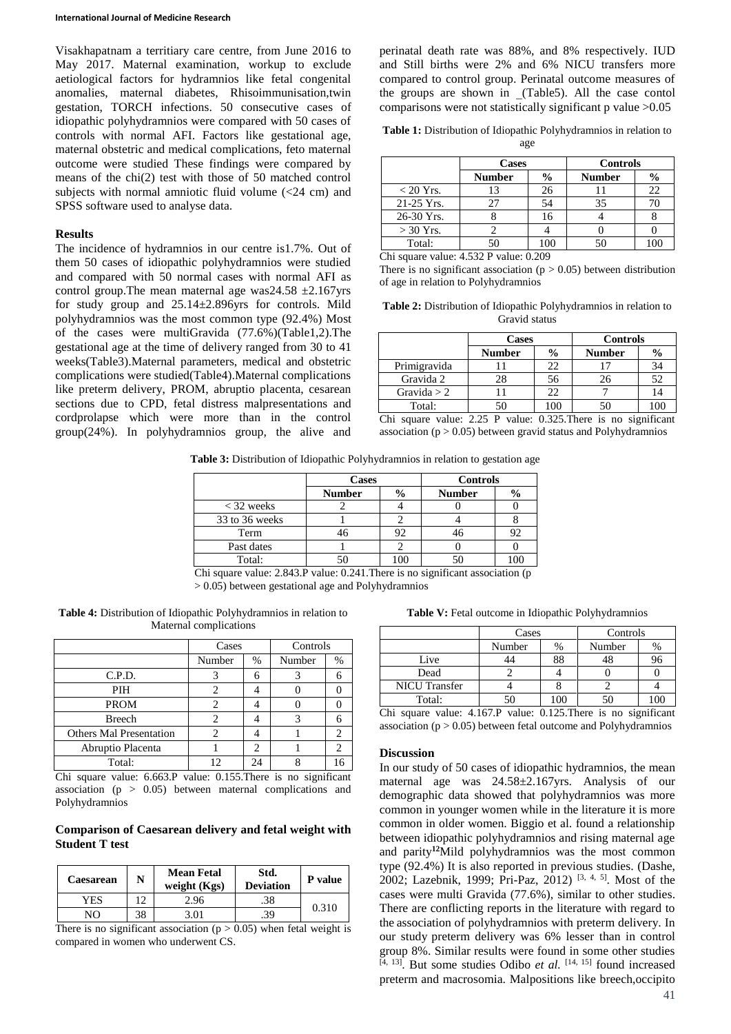Visakhapatnam a territiary care centre, from June 2016 to May 2017. Maternal examination, workup to exclude aetiological factors for hydramnios like fetal congenital anomalies, maternal diabetes, Rhisoimmunisation,twin gestation, TORCH infections. 50 consecutive cases of idiopathic polyhydramnios were compared with 50 cases of controls with normal AFI. Factors like gestational age, maternal obstetric and medical complications, feto maternal outcome were studied These findings were compared by means of the chi(2) test with those of 50 matched control subjects with normal amniotic fluid volume  $\left($  <24 cm) and SPSS software used to analyse data.

#### **Results**

The incidence of hydramnios in our centre is1.7%. Out of them 50 cases of idiopathic polyhydramnios were studied and compared with 50 normal cases with normal AFI as control group. The mean maternal age was  $24.58 \pm 2.167$  yrs for study group and 25.14±2.896yrs for controls. Mild polyhydramnios was the most common type (92.4%) Most of the cases were multiGravida (77.6%)(Table1,2).The gestational age at the time of delivery ranged from 30 to 41 weeks(Table3).Maternal parameters, medical and obstetric complications were studied(Table4).Maternal complications like preterm delivery, PROM, abruptio placenta, cesarean sections due to CPD, fetal distress malpresentations and cordprolapse which were more than in the control group(24%). In polyhydramnios group, the alive and

perinatal death rate was 88%, and 8% respectively. IUD and Still births were 2% and 6% NICU transfers more compared to control group. Perinatal outcome measures of the groups are shown in [\(](https://www.ncbi.nlm.nih.gov/pmc/articles/PMC3831796/table/T2/)Table5). All the case contol comparisons were not statistically significant p value >0.05

|  | <b>Table 1:</b> Distribution of Idiopathic Polyhydramnios in relation to |  |  |
|--|--------------------------------------------------------------------------|--|--|
|  |                                                                          |  |  |

age

|              | <b>Cases</b>  |               | Controls      |               |  |
|--------------|---------------|---------------|---------------|---------------|--|
|              | <b>Number</b> | $\frac{6}{9}$ | <b>Number</b> | $\frac{0}{0}$ |  |
| $< 20$ Yrs.  |               | 26            |               | 22            |  |
| $21-25$ Yrs. | 27            | 54            | 35            |               |  |
| 26-30 Yrs.   |               | 16            |               |               |  |
| $>$ 30 Yrs.  |               |               |               |               |  |
| Total:       |               | 100           |               |               |  |

Chi square value: 4.532 P value: 0.209

There is no significant association ( $p > 0.05$ ) between distribution of age in relation to Polyhydramnios

| <b>Table 2:</b> Distribution of Idiopathic Polyhydramnios in relation to |
|--------------------------------------------------------------------------|
| Gravid status                                                            |

|               | <b>Cases</b>  |               | <b>Controls</b> |               |  |
|---------------|---------------|---------------|-----------------|---------------|--|
|               | <b>Number</b> | $\frac{6}{9}$ | <b>Number</b>   | $\frac{0}{0}$ |  |
| Primigravida  |               | 22            |                 | 34            |  |
| Gravida 2     | 28            | 56            | 26              | 52            |  |
| Gravida $> 2$ |               | 22            |                 | 14            |  |
| Total:        |               |               |                 |               |  |

Chi square value: 2.25 P value: 0.325.There is no significant association ( $p > 0.05$ ) between gravid status and Polyhydramnios

**Table 3:** Distribution of Idiopathic Polyhydramnios in relation to gestation age

|                | <b>Cases</b>  |               | <b>Controls</b> |               |  |
|----------------|---------------|---------------|-----------------|---------------|--|
|                | <b>Number</b> | $\frac{0}{0}$ | <b>Number</b>   | $\frac{0}{0}$ |  |
| $<$ 32 weeks   |               |               |                 |               |  |
| 33 to 36 weeks |               |               |                 |               |  |
| Term           |               | 92            |                 | 92            |  |
| Past dates     |               |               |                 |               |  |
| Total:         |               |               |                 |               |  |

Chi square value: 2.843.P value: 0.241.There is no significant association (p  $> 0.05$ ) between gestational age and Polyhydramnios

**Table 4:** Distribution of Idiopathic Polyhydramnios in relation to Maternal complications

|                                | Cases  |   | Controls |    |
|--------------------------------|--------|---|----------|----|
|                                | Number | % | Number   | %  |
| C.P.D.                         |        |   |          |    |
| PIH                            |        |   |          |    |
| <b>PROM</b>                    |        |   |          |    |
| Breech                         |        |   |          |    |
| <b>Others Mal Presentation</b> |        |   |          | 2  |
| Abruptio Placenta              |        |   |          | 2  |
| Total:                         |        |   |          | 16 |

Chi square value: 6.663.P value: 0.155.There is no significant association ( $p > 0.05$ ) between maternal complications and Polyhydramnios

**Comparison of Caesarean delivery and fetal weight with Student T test**

| Caesarean    | N   | <b>Mean Fetal</b><br>weight $(Kgs)$ | Std.<br><b>Deviation</b> | P value |  |
|--------------|-----|-------------------------------------|--------------------------|---------|--|
| YES          | 1 7 | 2.96                                | .38                      | 0.310   |  |
| NΩ           | 38  | '.01                                | .39                      |         |  |
| --<br>$\sim$ |     | $\sim$ $\sim$                       |                          |         |  |

There is no significant association ( $p > 0.05$ ) when fetal weight is compared in women who underwent CS.

**Table V:** Fetal outcome in Idiopathic Polyhydramnios

|                      | Cases  |     | Controls |    |
|----------------------|--------|-----|----------|----|
|                      | Number |     | Number   | %  |
| Live                 |        |     |          | 96 |
| Dead                 |        |     |          |    |
| <b>NICU</b> Transfer |        |     |          |    |
| Total:               |        | 10C |          |    |

Chi square value: 4.167.P value: 0.125.There is no significant association ( $p > 0.05$ ) between fetal outcome and Polyhydramnios

#### **Discussion**

In our study of 50 cases of idiopathic hydramnios, the mean maternal age was 24.58±2.167yrs. Analysis of our demographic data showed that polyhydramnios was more common in younger women while in the literature it is more common in older women. Biggio et al. found a relationship between idiopathic polyhydramnios and rising maternal age and parity**<sup>12</sup>**Mild polyhydramnios was the most common type (92.4%) It is also reported in previous studies. (Dashe, 2002; Lazebnik, 1999; Pri-Paz, 2012)<sup>[3, 4, 5]</sup>. Most of the cases were multi Gravida (77.6%), similar to other studies. There are conflicting reports in the literature with regard to the association of polyhydramnios with preterm delivery. In our study preterm delivery was 6% lesser than in control group 8%. Similar results were found in some other studies [4, 13] . But some studies Odibo *et al.* [14, 15] found increased preterm and macrosomia. Malpositions like breech,occipito